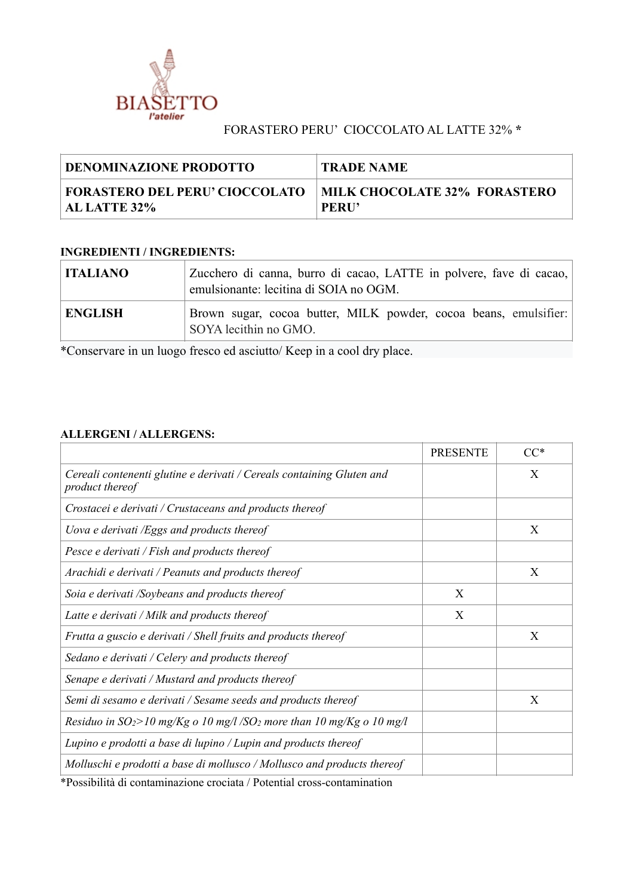

## FORASTERO PERU' CIOCCOLATO AL LATTE 32% **\***

| DENOMINAZIONE PRODOTTO                | <b>TRADE NAME</b>                   |
|---------------------------------------|-------------------------------------|
| <b>FORASTERO DEL PERU' CIOCCOLATO</b> | <b>MILK CHOCOLATE 32% FORASTERO</b> |
| AL LATTE 32%                          | <b>PERU'</b>                        |

## **INGREDIENTI / INGREDIENTS:**

| <b>ITALIANO</b> | Zucchero di canna, burro di cacao, LATTE in polvere, fave di cacao,<br>emulsionante: lecitina di SOIA no OGM. |  |  |
|-----------------|---------------------------------------------------------------------------------------------------------------|--|--|
| <b>ENGLISH</b>  | Brown sugar, cocoa butter, MILK powder, cocoa beans, emulsifier:<br>SOYA lecithin no GMO.                     |  |  |

\*Conservare in un luogo fresco ed asciutto/ Keep in a cool dry place.

## **ALLERGENI / ALLERGENS:**

|                                                                                          | <b>PRESENTE</b> | $CC^*$ |
|------------------------------------------------------------------------------------------|-----------------|--------|
| Cereali contenenti glutine e derivati / Cereals containing Gluten and<br>product thereof |                 | X      |
| Crostacei e derivati / Crustaceans and products thereof                                  |                 |        |
| Uova e derivati /Eggs and products thereof                                               |                 | X      |
| Pesce e derivati / Fish and products thereof                                             |                 |        |
| Arachidi e derivati / Peanuts and products thereof                                       |                 | X      |
| Soia e derivati /Soybeans and products thereof                                           | X               |        |
| Latte e derivati / Milk and products thereof                                             | X               |        |
| Frutta a guscio e derivati / Shell fruits and products thereof                           |                 | X      |
| Sedano e derivati / Celery and products thereof                                          |                 |        |
| Senape e derivati / Mustard and products thereof                                         |                 |        |
| Semi di sesamo e derivati / Sesame seeds and products thereof                            |                 | X      |
| Residuo in $SO_2$ >10 mg/Kg o 10 mg/l /SO <sub>2</sub> more than 10 mg/Kg o 10 mg/l      |                 |        |
| Lupino e prodotti a base di lupino / Lupin and products thereof                          |                 |        |
| Molluschi e prodotti a base di mollusco / Mollusco and products thereof                  |                 |        |

\*Possibilità di contaminazione crociata / Potential cross-contamination